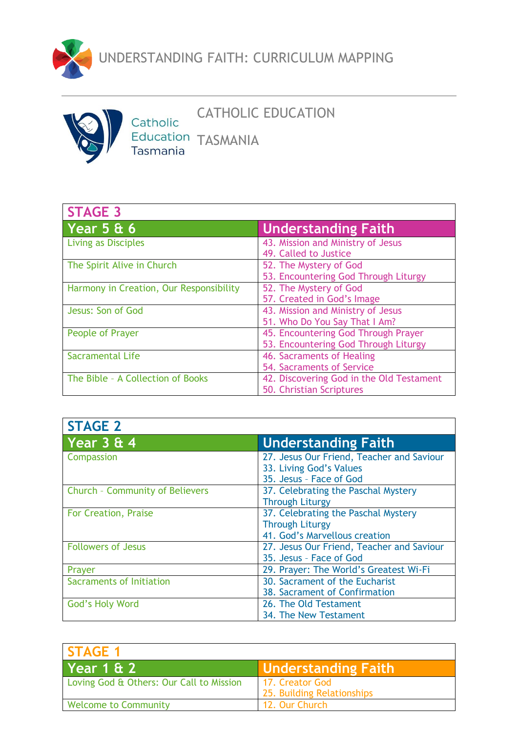



## CATHOLIC EDUCATION

Catholic Education TASMANIA<br>Tasmania

| <b>STAGE 3</b>                          |                                          |
|-----------------------------------------|------------------------------------------|
| Year 5 & 6                              | <b>Understanding Faith</b>               |
| <b>Living as Disciples</b>              | 43. Mission and Ministry of Jesus        |
|                                         | 49. Called to Justice                    |
| The Spirit Alive in Church              | 52. The Mystery of God                   |
|                                         | 53. Encountering God Through Liturgy     |
| Harmony in Creation, Our Responsibility | 52. The Mystery of God                   |
|                                         | 57. Created in God's Image               |
| Jesus: Son of God                       | 43. Mission and Ministry of Jesus        |
|                                         | 51. Who Do You Say That I Am?            |
| People of Prayer                        | 45. Encountering God Through Prayer      |
|                                         | 53. Encountering God Through Liturgy     |
| <b>Sacramental Life</b>                 | 46. Sacraments of Healing                |
|                                         | 54. Sacraments of Service                |
| The Bible - A Collection of Books       | 42. Discovering God in the Old Testament |
|                                         | 50. Christian Scriptures                 |

| <b>STAGE 2</b>                         |                                                    |
|----------------------------------------|----------------------------------------------------|
| Year 3 & 4                             | <b>Understanding Faith</b>                         |
| Compassion                             | 27. Jesus Our Friend, Teacher and Saviour          |
|                                        | 33. Living God's Values<br>35. Jesus - Face of God |
| <b>Church - Community of Believers</b> | 37. Celebrating the Paschal Mystery                |
|                                        | <b>Through Liturgy</b>                             |
| <b>For Creation, Praise</b>            | 37. Celebrating the Paschal Mystery                |
|                                        | <b>Through Liturgy</b>                             |
|                                        | 41. God's Marvellous creation                      |
| <b>Followers of Jesus</b>              | 27. Jesus Our Friend, Teacher and Saviour          |
|                                        | 35. Jesus - Face of God                            |
| Prayer                                 | 29. Prayer: The World's Greatest Wi-Fi             |
| Sacraments of Initiation               | 30. Sacrament of the Eucharist                     |
|                                        | 38. Sacrament of Confirmation                      |
| <b>God's Holy Word</b>                 | 26. The Old Testament                              |
|                                        | 34. The New Testament                              |

| <b>STAGE 1</b>                           |                                               |
|------------------------------------------|-----------------------------------------------|
| Year 1 & 2                               | <b>Understanding Faith</b>                    |
| Loving God & Others: Our Call to Mission | 17. Creator God<br>25. Building Relationships |
| <b>Welcome to Community</b>              | 12. Our Church                                |